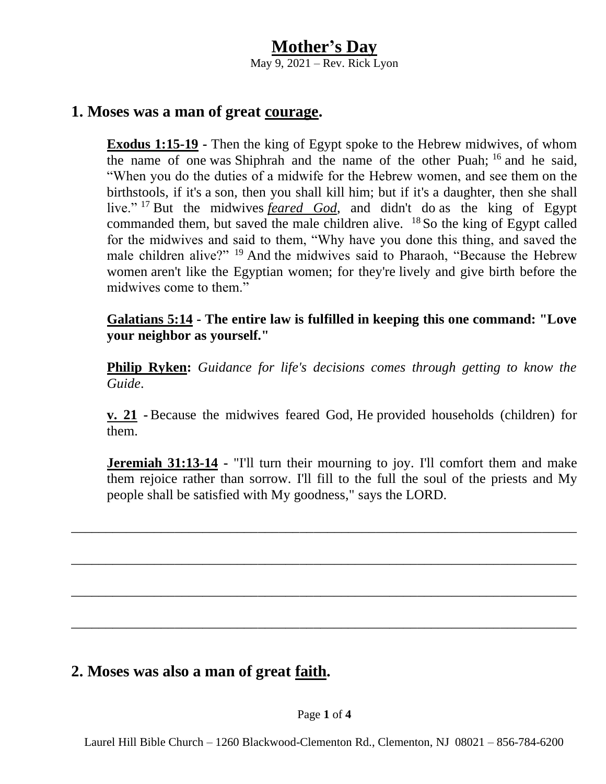### **1. Moses was a man of great courage.**

**Exodus 1:15-19 -** Then the king of Egypt spoke to the Hebrew midwives, of whom the name of one was Shiphrah and the name of the other Puah;  $16$  and he said, "When you do the duties of a midwife for the Hebrew women, and see them on the birthstools, if it's a son, then you shall kill him; but if it's a daughter, then she shall live." <sup>17</sup> But the midwives *feared God*, and didn't do as the king of Egypt commanded them, but saved the male children alive.  $^{18}$  So the king of Egypt called for the midwives and said to them, "Why have you done this thing, and saved the male children alive?" <sup>19</sup> And the midwives said to Pharaoh, "Because the Hebrew women aren't like the Egyptian women; for they're lively and give birth before the midwives come to them."

**Galatians 5:14 - The entire law is fulfilled in keeping this one command: "Love your neighbor as yourself."**

**Philip Ryken:** *Guidance for life's decisions comes through getting to know the Guide*.

**v. 21 -** Because the midwives feared God, He provided households (children) for them.

**Jeremiah 31:13-14 -** "I'll turn their mourning to joy. I'll comfort them and make them rejoice rather than sorrow. I'll fill to the full the soul of the priests and My people shall be satisfied with My goodness," says the LORD.

\_\_\_\_\_\_\_\_\_\_\_\_\_\_\_\_\_\_\_\_\_\_\_\_\_\_\_\_\_\_\_\_\_\_\_\_\_\_\_\_\_\_\_\_\_\_\_\_\_\_\_\_\_\_\_\_\_\_\_\_\_\_\_\_\_\_\_\_\_\_\_\_\_

\_\_\_\_\_\_\_\_\_\_\_\_\_\_\_\_\_\_\_\_\_\_\_\_\_\_\_\_\_\_\_\_\_\_\_\_\_\_\_\_\_\_\_\_\_\_\_\_\_\_\_\_\_\_\_\_\_\_\_\_\_\_\_\_\_\_\_\_\_\_\_\_\_

\_\_\_\_\_\_\_\_\_\_\_\_\_\_\_\_\_\_\_\_\_\_\_\_\_\_\_\_\_\_\_\_\_\_\_\_\_\_\_\_\_\_\_\_\_\_\_\_\_\_\_\_\_\_\_\_\_\_\_\_\_\_\_\_\_\_\_\_\_\_\_\_\_

\_\_\_\_\_\_\_\_\_\_\_\_\_\_\_\_\_\_\_\_\_\_\_\_\_\_\_\_\_\_\_\_\_\_\_\_\_\_\_\_\_\_\_\_\_\_\_\_\_\_\_\_\_\_\_\_\_\_\_\_\_\_\_\_\_\_\_\_\_\_\_\_\_

## **2. Moses was also a man of great faith.**

Page **1** of **4**

Laurel Hill Bible Church – 1260 Blackwood-Clementon Rd., Clementon, NJ 08021 – 856-784-6200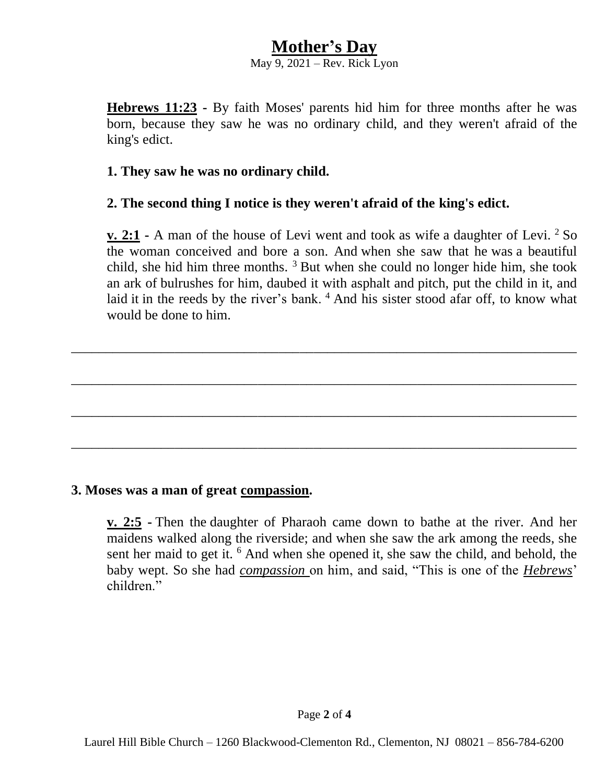# **Mother's Day**

May 9, 2021 – Rev. Rick Lyon

**Hebrews 11:23 -** By faith Moses' parents hid him for three months after he was born, because they saw he was no ordinary child, and they weren't afraid of the king's edict.

#### **1. They saw he was no ordinary child.**

### **2. The second thing I notice is they weren't afraid of the king's edict.**

**v. 2:1 -** A man of the house of Levi went and took as wife a daughter of Levi. <sup>2</sup> So the woman conceived and bore a son. And when she saw that he was a beautiful child, she hid him three months.  $3$  But when she could no longer hide him, she took an ark of bulrushes for him, daubed it with asphalt and pitch, put the child in it, and laid it in the reeds by the river's bank. <sup>4</sup> And his sister stood afar off, to know what would be done to him.

\_\_\_\_\_\_\_\_\_\_\_\_\_\_\_\_\_\_\_\_\_\_\_\_\_\_\_\_\_\_\_\_\_\_\_\_\_\_\_\_\_\_\_\_\_\_\_\_\_\_\_\_\_\_\_\_\_\_\_\_\_\_\_\_\_\_\_\_\_\_\_\_\_

\_\_\_\_\_\_\_\_\_\_\_\_\_\_\_\_\_\_\_\_\_\_\_\_\_\_\_\_\_\_\_\_\_\_\_\_\_\_\_\_\_\_\_\_\_\_\_\_\_\_\_\_\_\_\_\_\_\_\_\_\_\_\_\_\_\_\_\_\_\_\_\_\_

\_\_\_\_\_\_\_\_\_\_\_\_\_\_\_\_\_\_\_\_\_\_\_\_\_\_\_\_\_\_\_\_\_\_\_\_\_\_\_\_\_\_\_\_\_\_\_\_\_\_\_\_\_\_\_\_\_\_\_\_\_\_\_\_\_\_\_\_\_\_\_\_\_

\_\_\_\_\_\_\_\_\_\_\_\_\_\_\_\_\_\_\_\_\_\_\_\_\_\_\_\_\_\_\_\_\_\_\_\_\_\_\_\_\_\_\_\_\_\_\_\_\_\_\_\_\_\_\_\_\_\_\_\_\_\_\_\_\_\_\_\_\_\_\_\_\_

#### **3. Moses was a man of great compassion.**

**v. 2:5 -** Then the daughter of Pharaoh came down to bathe at the river. And her maidens walked along the riverside; and when she saw the ark among the reeds, she sent her maid to get it. <sup>6</sup> And when she opened it, she saw the child, and behold, the baby wept. So she had *compassion* on him, and said, "This is one of the *Hebrews*' children"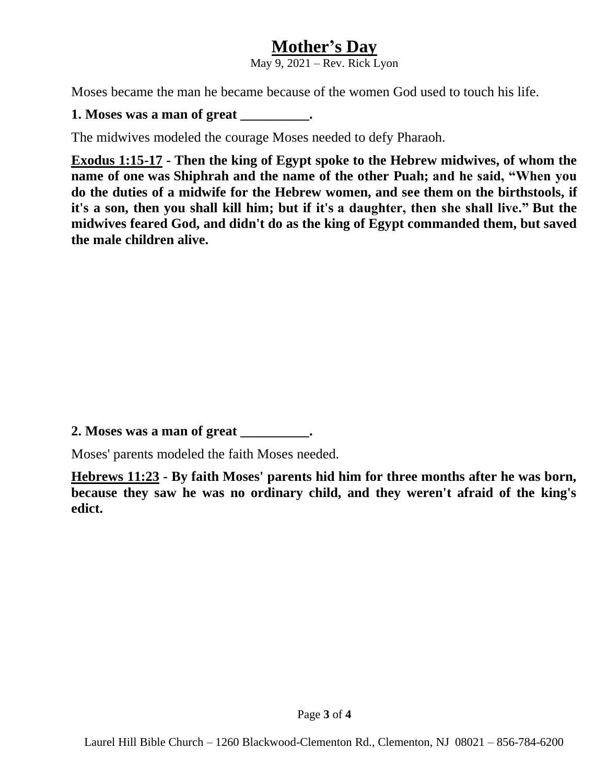# **Mother's Day**

May 9, 2021 – Rev. Rick Lyon

Moses became the man he became because of the women God used to touch his life.

### **1. Moses was a man of great \_\_\_\_\_\_\_\_\_\_.**

The midwives modeled the courage Moses needed to defy Pharaoh.

**Exodus 1:15-17 - Then the king of Egypt spoke to the Hebrew midwives, of whom the name of one was Shiphrah and the name of the other Puah; and he said, "When you do the duties of a midwife for the Hebrew women, and see them on the birthstools, if it's a son, then you shall kill him; but if it's a daughter, then she shall live." But the midwives feared God, and didn't do as the king of Egypt commanded them, but saved the male children alive.**

**2. Moses was a man of great \_\_\_\_\_\_\_\_\_\_.**

Moses' parents modeled the faith Moses needed.

**Hebrews 11:23 - By faith Moses' parents hid him for three months after he was born, because they saw he was no ordinary child, and they weren't afraid of the king's edict.**